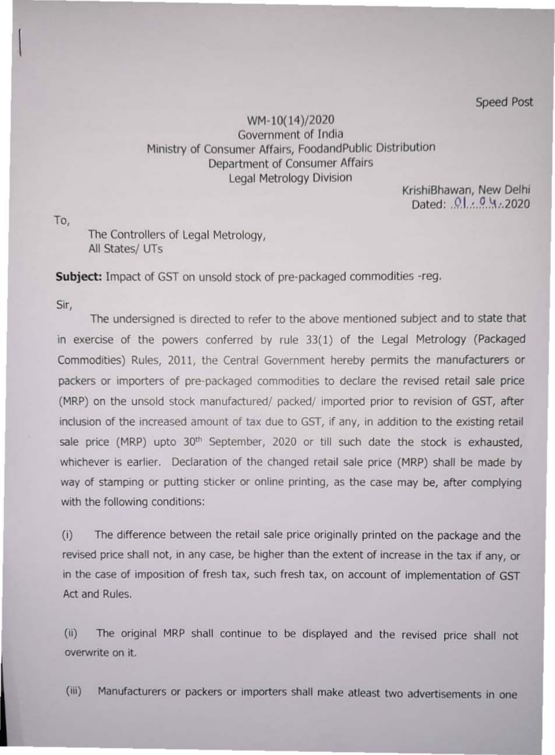To,

 $\vert$ 

Speed Post

## WM-10(14)/2020 Government of India Ministry of Consumer Affairs, FoodandPublic Distribution Department of Consumer Affairs Legal Metrology Division

KrishiBhawan, New Delhi Dated: 01.04.2020

The Controllers of Legal Metrology, All States/ UTs

**Subject:** Impact of GST on unsold stock of pre-packaged commodities -reg.

Sir,

The undersigned is directed to refer to the above mentioned subject and to state that in exercise of the powers conferred by rule 33(1) of the Legal Metrology (Packaged Commodities) Rules, 2011, the Central Government hereby permits the manufacturers or packers or importers of pre-packaged commodities to declare the revised retail sale price (MRP) on the unsold stock manufactured/ packed/ imported prior to revision of GST, after inclusion of the increased amount of tax due to GST, if any, in addition to the existing retail sale price (MRP) upto 30<sup>th</sup> September, 2020 or till such date the stock is exhausted, whichever is earlier. Declaration of the changed retail sale price (MRP) shall be made by way of stamping or putting sticker or online printing, as the case may be, after complying with the following conditions:

(i) The difference between the retail sale price originally printed on the package and the revised price shall not, in any case, be higher than the extent of increase in the tax if any, or in the case of imposition of fresh tax, such fresh tax, on account of implementation of GST Act and Rules.

(ii) The original MRP shall continue to be displayed and the revised price shall not overwrite on it.

(iii) Manufacturers or packers or importers shall make atleast two advertisements in one